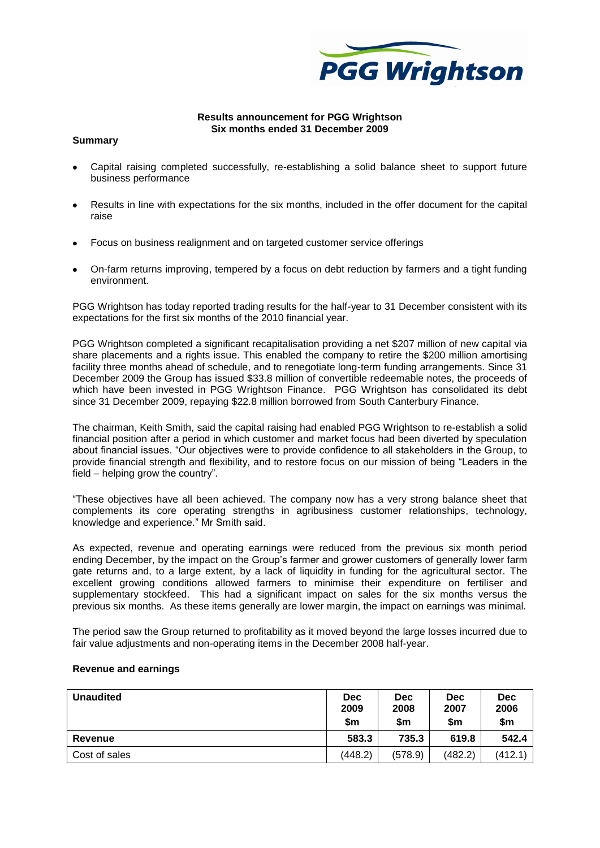

# **Results announcement for PGG Wrightson Six months ended 31 December 2009**

# **Summary**

- Capital raising completed successfully, re-establishing a solid balance sheet to support future business performance
- Results in line with expectations for the six months, included in the offer document for the capital raise
- Focus on business realignment and on targeted customer service offerings
- On-farm returns improving, tempered by a focus on debt reduction by farmers and a tight funding environment.

PGG Wrightson has today reported trading results for the half-year to 31 December consistent with its expectations for the first six months of the 2010 financial year.

PGG Wrightson completed a significant recapitalisation providing a net \$207 million of new capital via share placements and a rights issue. This enabled the company to retire the \$200 million amortising facility three months ahead of schedule, and to renegotiate long-term funding arrangements. Since 31 December 2009 the Group has issued \$33.8 million of convertible redeemable notes, the proceeds of which have been invested in PGG Wrightson Finance. PGG Wrightson has consolidated its debt since 31 December 2009, repaying \$22.8 million borrowed from South Canterbury Finance.

The chairman, Keith Smith, said the capital raising had enabled PGG Wrightson to re-establish a solid financial position after a period in which customer and market focus had been diverted by speculation about financial issues. "Our objectives were to provide confidence to all stakeholders in the Group, to provide financial strength and flexibility, and to restore focus on our mission of being "Leaders in the field – helping grow the country".

"These objectives have all been achieved. The company now has a very strong balance sheet that complements its core operating strengths in agribusiness customer relationships, technology, knowledge and experience." Mr Smith said.

As expected, revenue and operating earnings were reduced from the previous six month period ending December, by the impact on the Group's farmer and grower customers of generally lower farm gate returns and, to a large extent, by a lack of liquidity in funding for the agricultural sector. The excellent growing conditions allowed farmers to minimise their expenditure on fertiliser and supplementary stockfeed. This had a significant impact on sales for the six months versus the previous six months. As these items generally are lower margin, the impact on earnings was minimal.

The period saw the Group returned to profitability as it moved beyond the large losses incurred due to fair value adjustments and non-operating items in the December 2008 half-year.

| <b>Unaudited</b> | <b>Dec</b><br>2009<br>\$m | Dec<br>2008<br>\$m | <b>Dec</b><br>2007<br>\$m | <b>Dec</b><br>2006<br>\$m |
|------------------|---------------------------|--------------------|---------------------------|---------------------------|
| Revenue          | 583.3                     | 735.3              | 619.8                     | 542.4                     |
| Cost of sales    | (448.2)                   | (578.9)            | (482.2)                   | (412.1)                   |

### **Revenue and earnings**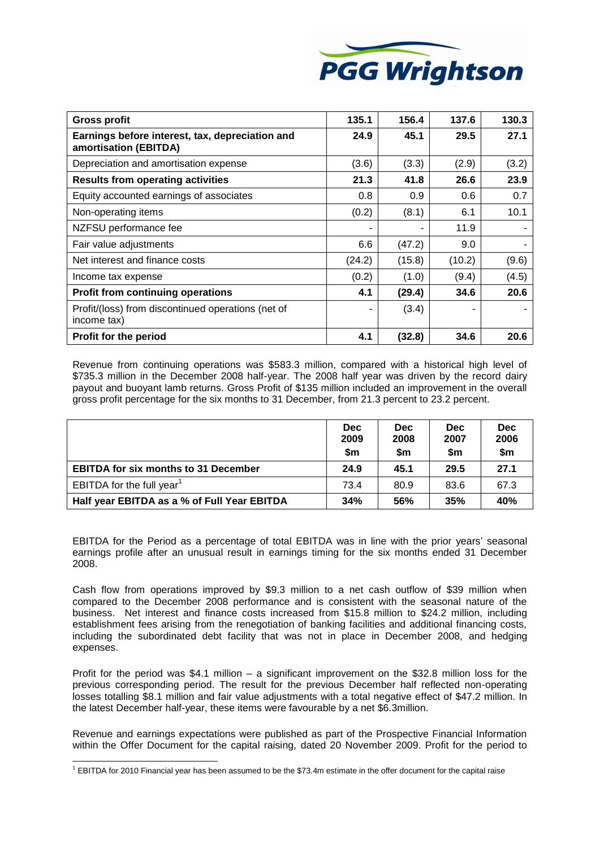

| <b>Gross profit</b>                                                      | 135.1  | 156.4  | 137.6  | 130.3 |
|--------------------------------------------------------------------------|--------|--------|--------|-------|
| Earnings before interest, tax, depreciation and<br>amortisation (EBITDA) | 24.9   | 45.1   | 29.5   | 27.1  |
| Depreciation and amortisation expense                                    | (3.6)  | (3.3)  | (2.9)  | (3.2) |
| <b>Results from operating activities</b>                                 | 21.3   | 41.8   | 26.6   | 23.9  |
| Equity accounted earnings of associates                                  | 0.8    | 0.9    | 0.6    | 0.7   |
| Non-operating items                                                      | (0.2)  | (8.1)  | 6.1    | 10.1  |
| NZFSU performance fee                                                    |        |        | 11.9   |       |
| Fair value adjustments                                                   | 6.6    | (47.2) | 9.0    |       |
| Net interest and finance costs                                           | (24.2) | (15.8) | (10.2) | (9.6) |
| Income tax expense                                                       | (0.2)  | (1.0)  | (9.4)  | (4.5) |
| <b>Profit from continuing operations</b>                                 | 4.1    | (29.4) | 34.6   | 20.6  |
| Profit/(loss) from discontinued operations (net of<br>income tax)        |        | (3.4)  |        |       |
| Profit for the period                                                    | 4.1    | (32.8) | 34.6   | 20.6  |

Revenue from continuing operations was \$583.3 million, compared with a historical high level of \$735.3 million in the December 2008 half-year. The 2008 half year was driven by the record dairy payout and buoyant lamb returns. Gross Profit of \$135 million included an improvement in the overall gross profit percentage for the six months to 31 December, from 21.3 percent to 23.2 percent.

|                                             | <b>Dec</b><br>2009<br>\$m | <b>Dec</b><br>2008<br>\$m | <b>Dec</b><br>2007<br>\$m | <b>Dec</b><br>2006<br>\$m |
|---------------------------------------------|---------------------------|---------------------------|---------------------------|---------------------------|
| <b>EBITDA for six months to 31 December</b> | 24.9                      | 45.1                      | 29.5                      | 27.1                      |
| EBITDA for the full year $1$                | 73.4                      | 80.9                      | 83.6                      | 67.3                      |
| Half year EBITDA as a % of Full Year EBITDA | 34%                       | 56%                       | 35%                       | 40%                       |

EBITDA for the Period as a percentage of total EBITDA was in line with the prior years' seasonal earnings profile after an unusual result in earnings timing for the six months ended 31 December 2008.

Cash flow from operations improved by \$9.3 million to a net cash outflow of \$39 million when compared to the December 2008 performance and is consistent with the seasonal nature of the business. Net interest and finance costs increased from \$15.8 million to \$24.2 million, including establishment fees arising from the renegotiation of banking facilities and additional financing costs, including the subordinated debt facility that was not in place in December 2008, and hedging expenses.

Profit for the period was \$4.1 million – a significant improvement on the \$32.8 million loss for the previous corresponding period. The result for the previous December half reflected non-operating losses totalling \$8.1 million and fair value adjustments with a total negative effect of \$47.2 million. In the latest December half-year, these items were favourable by a net \$6.3million.

Revenue and earnings expectations were published as part of the Prospective Financial Information within the Offer Document for the capital raising, dated 20 November 2009. Profit for the period to

<sup>-</sup><sup>1</sup> EBITDA for 2010 Financial year has been assumed to be the \$73.4m estimate in the offer document for the capital raise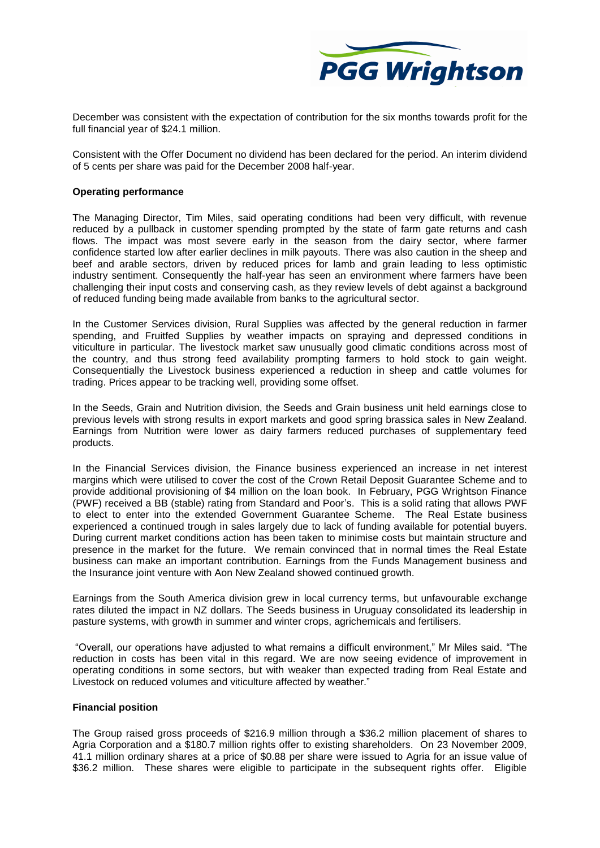

December was consistent with the expectation of contribution for the six months towards profit for the full financial year of \$24.1 million.

Consistent with the Offer Document no dividend has been declared for the period. An interim dividend of 5 cents per share was paid for the December 2008 half-year.

### **Operating performance**

The Managing Director, Tim Miles, said operating conditions had been very difficult, with revenue reduced by a pullback in customer spending prompted by the state of farm gate returns and cash flows. The impact was most severe early in the season from the dairy sector, where farmer confidence started low after earlier declines in milk payouts. There was also caution in the sheep and beef and arable sectors, driven by reduced prices for lamb and grain leading to less optimistic industry sentiment. Consequently the half-year has seen an environment where farmers have been challenging their input costs and conserving cash, as they review levels of debt against a background of reduced funding being made available from banks to the agricultural sector.

In the Customer Services division, Rural Supplies was affected by the general reduction in farmer spending, and Fruitfed Supplies by weather impacts on spraying and depressed conditions in viticulture in particular. The livestock market saw unusually good climatic conditions across most of the country, and thus strong feed availability prompting farmers to hold stock to gain weight. Consequentially the Livestock business experienced a reduction in sheep and cattle volumes for trading. Prices appear to be tracking well, providing some offset.

In the Seeds, Grain and Nutrition division, the Seeds and Grain business unit held earnings close to previous levels with strong results in export markets and good spring brassica sales in New Zealand. Earnings from Nutrition were lower as dairy farmers reduced purchases of supplementary feed products.

In the Financial Services division, the Finance business experienced an increase in net interest margins which were utilised to cover the cost of the Crown Retail Deposit Guarantee Scheme and to provide additional provisioning of \$4 million on the loan book. In February, PGG Wrightson Finance (PWF) received a BB (stable) rating from Standard and Poor's. This is a solid rating that allows PWF to elect to enter into the extended Government Guarantee Scheme. The Real Estate business experienced a continued trough in sales largely due to lack of funding available for potential buyers. During current market conditions action has been taken to minimise costs but maintain structure and presence in the market for the future. We remain convinced that in normal times the Real Estate business can make an important contribution. Earnings from the Funds Management business and the Insurance joint venture with Aon New Zealand showed continued growth.

Earnings from the South America division grew in local currency terms, but unfavourable exchange rates diluted the impact in NZ dollars. The Seeds business in Uruguay consolidated its leadership in pasture systems, with growth in summer and winter crops, agrichemicals and fertilisers.

"Overall, our operations have adjusted to what remains a difficult environment," Mr Miles said. "The reduction in costs has been vital in this regard. We are now seeing evidence of improvement in operating conditions in some sectors, but with weaker than expected trading from Real Estate and Livestock on reduced volumes and viticulture affected by weather."

### **Financial position**

The Group raised gross proceeds of \$216.9 million through a \$36.2 million placement of shares to Agria Corporation and a \$180.7 million rights offer to existing shareholders. On 23 November 2009, 41.1 million ordinary shares at a price of \$0.88 per share were issued to Agria for an issue value of \$36.2 million. These shares were eligible to participate in the subsequent rights offer. Eligible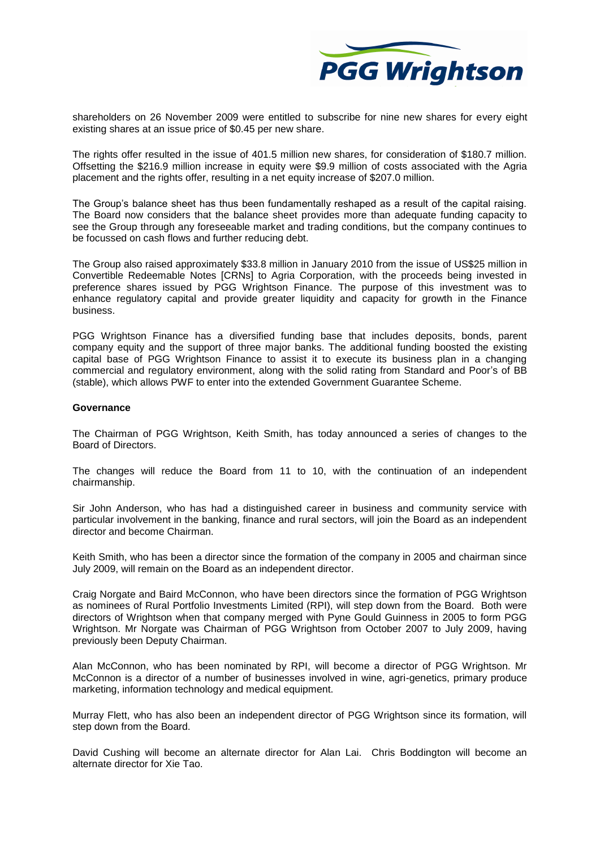

shareholders on 26 November 2009 were entitled to subscribe for nine new shares for every eight existing shares at an issue price of \$0.45 per new share.

The rights offer resulted in the issue of 401.5 million new shares, for consideration of \$180.7 million. Offsetting the \$216.9 million increase in equity were \$9.9 million of costs associated with the Agria placement and the rights offer, resulting in a net equity increase of \$207.0 million.

The Group's balance sheet has thus been fundamentally reshaped as a result of the capital raising. The Board now considers that the balance sheet provides more than adequate funding capacity to see the Group through any foreseeable market and trading conditions, but the company continues to be focussed on cash flows and further reducing debt.

The Group also raised approximately \$33.8 million in January 2010 from the issue of US\$25 million in Convertible Redeemable Notes [CRNs] to Agria Corporation, with the proceeds being invested in preference shares issued by PGG Wrightson Finance. The purpose of this investment was to enhance regulatory capital and provide greater liquidity and capacity for growth in the Finance business.

PGG Wrightson Finance has a diversified funding base that includes deposits, bonds, parent company equity and the support of three major banks. The additional funding boosted the existing capital base of PGG Wrightson Finance to assist it to execute its business plan in a changing commercial and regulatory environment, along with the solid rating from Standard and Poor's of BB (stable), which allows PWF to enter into the extended Government Guarantee Scheme.

#### **Governance**

The Chairman of PGG Wrightson, Keith Smith, has today announced a series of changes to the Board of Directors.

The changes will reduce the Board from 11 to 10, with the continuation of an independent chairmanship.

Sir John Anderson, who has had a distinguished career in business and community service with particular involvement in the banking, finance and rural sectors, will join the Board as an independent director and become Chairman.

Keith Smith, who has been a director since the formation of the company in 2005 and chairman since July 2009, will remain on the Board as an independent director.

Craig Norgate and Baird McConnon, who have been directors since the formation of PGG Wrightson as nominees of Rural Portfolio Investments Limited (RPI), will step down from the Board. Both were directors of Wrightson when that company merged with Pyne Gould Guinness in 2005 to form PGG Wrightson. Mr Norgate was Chairman of PGG Wrightson from October 2007 to July 2009, having previously been Deputy Chairman.

Alan McConnon, who has been nominated by RPI, will become a director of PGG Wrightson. Mr McConnon is a director of a number of businesses involved in wine, agri-genetics, primary produce marketing, information technology and medical equipment.

Murray Flett, who has also been an independent director of PGG Wrightson since its formation, will step down from the Board.

David Cushing will become an alternate director for Alan Lai. Chris Boddington will become an alternate director for Xie Tao.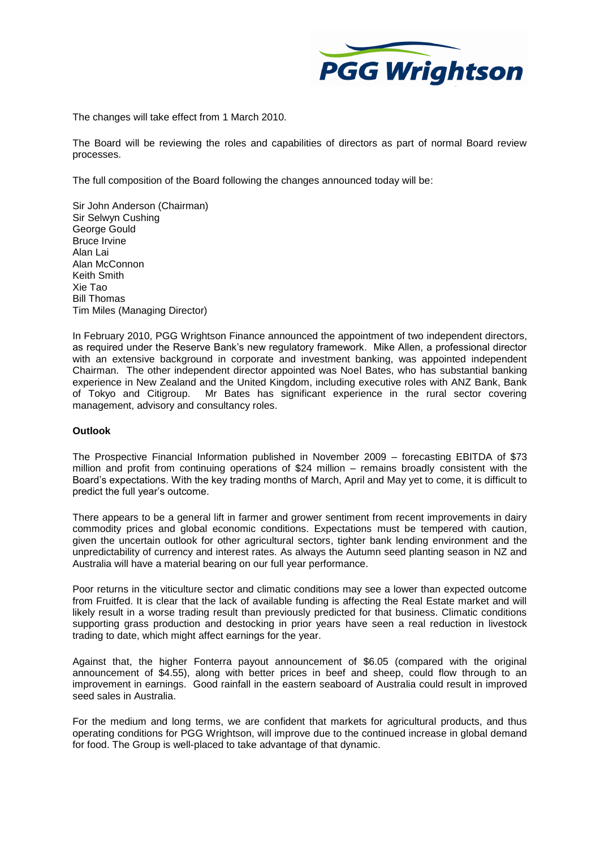

The changes will take effect from 1 March 2010.

The Board will be reviewing the roles and capabilities of directors as part of normal Board review processes.

The full composition of the Board following the changes announced today will be:

Sir John Anderson (Chairman) Sir Selwyn Cushing George Gould Bruce Irvine Alan Lai Alan McConnon Keith Smith Xie Tao Bill Thomas Tim Miles (Managing Director)

In February 2010, PGG Wrightson Finance announced the appointment of two independent directors, as required under the Reserve Bank's new regulatory framework. Mike Allen, a professional director with an extensive background in corporate and investment banking, was appointed independent Chairman. The other independent director appointed was Noel Bates, who has substantial banking experience in New Zealand and the United Kingdom, including executive roles with ANZ Bank, Bank of Tokyo and Citigroup. Mr Bates has significant experience in the rural sector covering management, advisory and consultancy roles.

### **Outlook**

The Prospective Financial Information published in November 2009 – forecasting EBITDA of \$73 million and profit from continuing operations of \$24 million – remains broadly consistent with the Board's expectations. With the key trading months of March, April and May yet to come, it is difficult to predict the full year's outcome.

There appears to be a general lift in farmer and grower sentiment from recent improvements in dairy commodity prices and global economic conditions. Expectations must be tempered with caution, given the uncertain outlook for other agricultural sectors, tighter bank lending environment and the unpredictability of currency and interest rates. As always the Autumn seed planting season in NZ and Australia will have a material bearing on our full year performance.

Poor returns in the viticulture sector and climatic conditions may see a lower than expected outcome from Fruitfed. It is clear that the lack of available funding is affecting the Real Estate market and will likely result in a worse trading result than previously predicted for that business. Climatic conditions supporting grass production and destocking in prior years have seen a real reduction in livestock trading to date, which might affect earnings for the year.

Against that, the higher Fonterra payout announcement of \$6.05 (compared with the original announcement of \$4.55), along with better prices in beef and sheep, could flow through to an improvement in earnings. Good rainfall in the eastern seaboard of Australia could result in improved seed sales in Australia.

For the medium and long terms, we are confident that markets for agricultural products, and thus operating conditions for PGG Wrightson, will improve due to the continued increase in global demand for food. The Group is well-placed to take advantage of that dynamic.